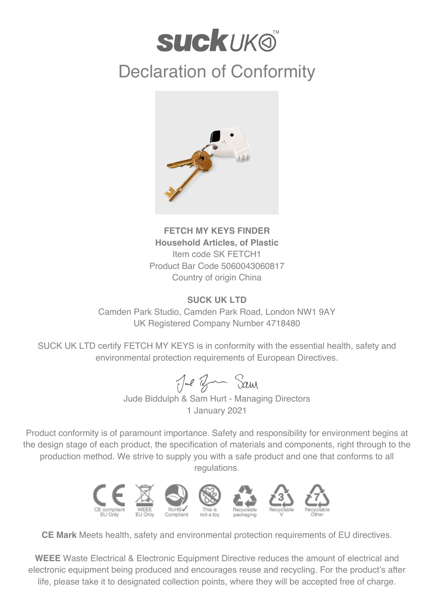## **SUCKUKO**

## Declaration of Conformity



**FETCH MY KEYS FINDER Household Articles, of Plastic** Item code SK FETCH1 Product Bar Code 5060043060817 Country of origin China

## **SUCK UK LTD**

Camden Park Studio, Camden Park Road, London NW1 9AY UK Registered Company Number 4718480

SUCK UK LTD certify FETCH MY KEYS is in conformity with the essential health, safety and environmental protection requirements of European Directives.

Jul Br Sam

Jude Biddulph & Sam Hurt - Managing Directors 1 January 2021

Product conformity is of paramount importance. Safety and responsibility for environment begins at the design stage of each product, the specification of materials and components, right through to the production method. We strive to supply you with a safe product and one that conforms to all regulations.



**CE Mark** Meets health, safety and environmental protection requirements of EU directives.

**WEEE** Waste Electrical & Electronic Equipment Directive reduces the amount of electrical and electronic equipment being produced and encourages reuse and recycling. For the product's after life, please take it to designated collection points, where they will be accepted free of charge.